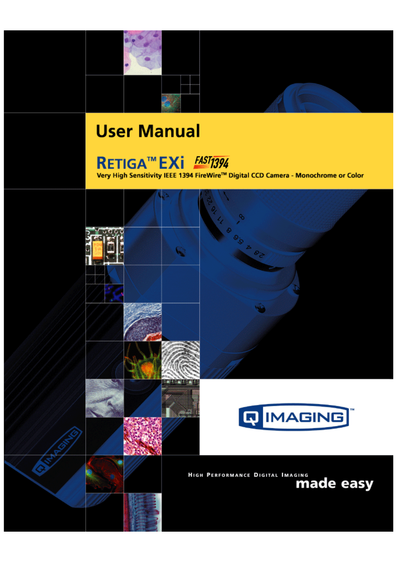



# **RETIGA™EXI FAST1394**

Very High Sensitivity IEEE 1394 FireWire™ Digital CCD Camera - Monochrome or Color

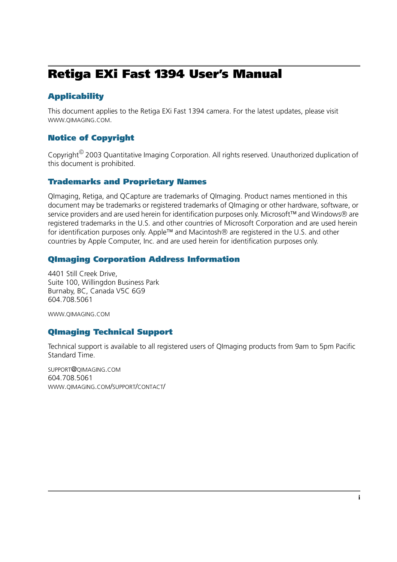## <span id="page-1-0"></span>**Retiga EXi Fast 1394 User's Manual**

### **Applicability**

[This document applies to the Retiga EXi Fast 1394 camera. For the latest updates, please visit](http://www.qimaging.com)  WWW.QIMAGING.COM.

### **Notice of Copyright**

Copyright<sup><sup>©</sup> 2003 Quantitative Imaging Corporation. All rights reserved. Unauthorized duplication of</sup> this document is prohibited.

### **Trademarks and Proprietary Names**

QImaging, Retiga, and QCapture are trademarks of QImaging. Product names mentioned in this document may be trademarks or registered trademarks of QImaging or other hardware, software, or service providers and are used herein for identification purposes only. Microsoft™ and Windows® are registered trademarks in the U.S. and other countries of Microsoft Corporation and are used herein for identification purposes only. Apple™ and Macintosh® are registered in the U.S. and other countries by Apple Computer, Inc. and are used herein for identification purposes only.

### **QImaging Corporation Address Information**

4401 Still Creek Drive, Suite 100, Willingdon Business Park Burnaby, BC, Canada V5C 6G9 604.708.5061

WWW.QIMAGING.COM

### **QImaging Technical Support**

Technical support is available to all registered users of QImaging products from 9am to 5pm Pacific Standard Time.

SUPPORT@QIMAGING.COM 604.708.5061 WWW.QIMAGING.COM/SUPPORT/CONTACT/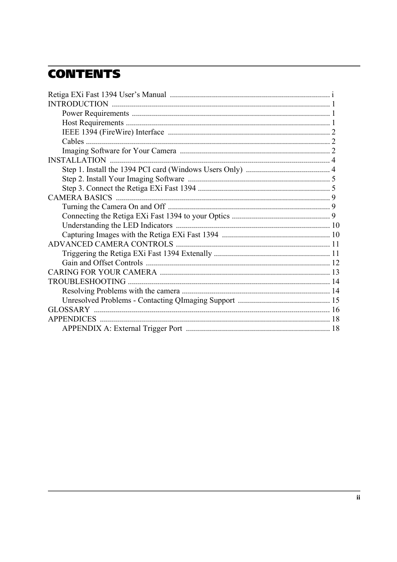## **CONTENTS**

| <b>INSTALLATION</b> |  |
|---------------------|--|
|                     |  |
|                     |  |
|                     |  |
|                     |  |
|                     |  |
|                     |  |
|                     |  |
|                     |  |
|                     |  |
|                     |  |
|                     |  |
|                     |  |
|                     |  |
|                     |  |
|                     |  |
|                     |  |
|                     |  |
|                     |  |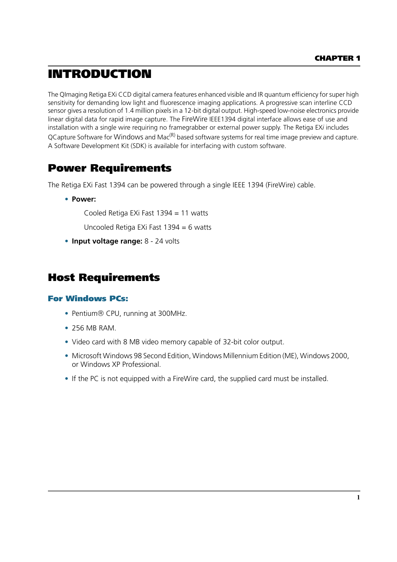## <span id="page-3-0"></span>**INTRODUCTION**

The QImaging Retiga EXi CCD digital camera features enhanced visible and IR quantum efficiency for super high sensitivity for demanding low light and fluorescence imaging applications. A progressive scan interline CCD sensor gives a resolution of 1.4 million pixels in a 12-bit digital output. High-speed low-noise electronics provide linear digital data for rapid image capture. The FireWire IEEE1394 digital interface allows ease of use and installation with a single wire requiring no framegrabber or external power supply. The Retiga EX*i* includes QCapture Software for Windows and Mac<sup>(R)</sup> based software systems for real time image preview and capture. A Software Development Kit (SDK) is available for interfacing with custom software.

### <span id="page-3-1"></span>**Power Requirements**

The Retiga EXi Fast 1394 can be powered through a single IEEE 1394 (FireWire) cable.

**• Power:**

Cooled Retiga EXi Fast 1394 = 11 watts

Uncooled Retiga EXi Fast 1394 = 6 watts

**• Input voltage range:** 8 - 24 volts

### <span id="page-3-2"></span>**Host Requirements**

### **For Windows PCs:**

- Pentium® CPU, running at 300MHz.
- **•** 256 MB RAM.
- **•** Video card with 8 MB video memory capable of 32-bit color output.
- **•** Microsoft Windows 98 Second Edition, Windows Millennium Edition (ME), Windows 2000, or Windows XP Professional.
- **•** If the PC is not equipped with a FireWire card, the supplied card must be installed.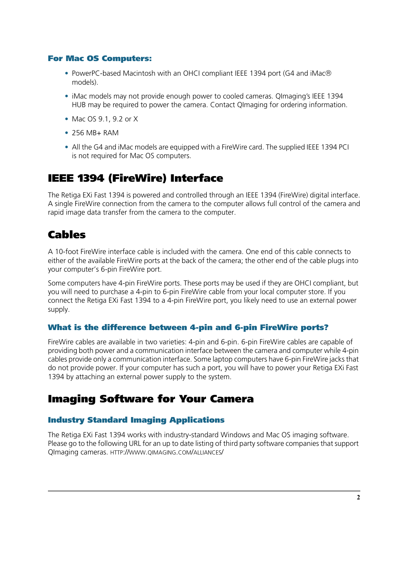### **For Mac OS Computers:**

- **•** PowerPC-based Macintosh with an OHCI compliant IEEE 1394 port (G4 and iMac models).
- **•** iMac models may not provide enough power to cooled cameras. QImaging's IEEE 1394 HUB may be required to power the camera. Contact QImaging for ordering information.
- **•** Mac OS 9.1, 9.2 or X
- **•** 256 MB+ RAM
- **•** All the G4 and iMac models are equipped with a FireWire card. The supplied IEEE 1394 PCI is not required for Mac OS computers.

## <span id="page-4-0"></span>**IEEE 1394 (FireWire) Interface**

The Retiga EXi Fast 1394 is powered and controlled through an IEEE 1394 (FireWire) digital interface. A single FireWire connection from the camera to the computer allows full control of the camera and rapid image data transfer from the camera to the computer.

## <span id="page-4-1"></span>**Cables**

A 10-foot FireWire interface cable is included with the camera. One end of this cable connects to either of the available FireWire ports at the back of the camera; the other end of the cable plugs into your computer's 6-pin FireWire port.

Some computers have 4-pin FireWire ports. These ports may be used if they are OHCI compliant, but you will need to purchase a 4-pin to 6-pin FireWire cable from your local computer store. If you connect the Retiga EXi Fast 1394 to a 4-pin FireWire port, you likely need to use an external power supply.

### **What is the difference between 4-pin and 6-pin FireWire ports?**

FireWire cables are available in two varieties: 4-pin and 6-pin. 6-pin FireWire cables are capable of providing both power and a communication interface between the camera and computer while 4-pin cables provide only a communication interface. Some laptop computers have 6-pin FireWire jacks that do not provide power. If your computer has such a port, you will have to power your Retiga EXi Fast 1394 by attaching an external power supply to the system.

### <span id="page-4-2"></span>**Imaging Software for Your Camera**

### **Industry Standard Imaging Applications**

The Retiga EXi Fast 1394 works with industry-standard Windows and Mac OS imaging software. Please go to the following URL for an up to date listing of third party software companies that support QImaging cameras. HTTP://WWW.QIMAGING.COM/ALLIANCES/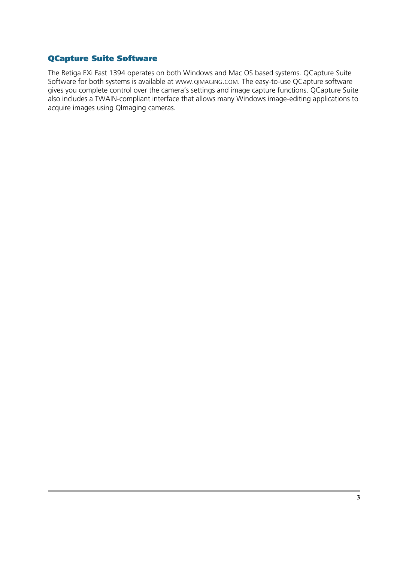### **QCapture Suite Software**

The Retiga EXi Fast 1394 operates on both Windows and Mac OS based systems. QCapture Suite Software for both systems is available at WWW.QIMAGING.COM. The easy-to-use QCapture software gives you complete control over the camera's settings and image capture functions. QCapture Suite also includes a TWAIN-compliant interface that allows many Windows image-editing applications to acquire images using QImaging cameras.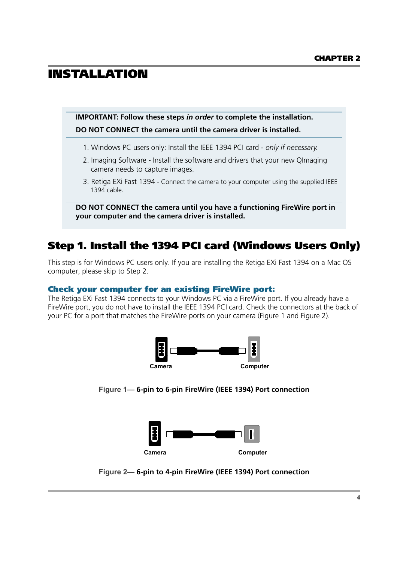## <span id="page-6-0"></span>**INSTALLATION**

**IMPORTANT: Follow these steps** *in order* **to complete the installation. DO NOT CONNECT the camera until the camera driver is installed.**

- 1. Windows PC users only: Install the IEEE 1394 PCI card *only if necessary.*
- 2. Imaging Software Install the software and drivers that your new QImaging camera needs to capture images.
- 3. Retiga EXi Fast 1394 Connect the camera to your computer using the supplied IEEE 1394 cable.

**DO NOT CONNECT the camera until you have a functioning FireWire port in your computer and the camera driver is installed.**

## <span id="page-6-1"></span>**Step 1. Install the 1394 PCI card (Windows Users Only)**

This step is for Windows PC users only. If you are installing the Retiga EXi Fast 1394 on a Mac OS computer, please skip to Step 2.

### **Check your computer for an existing FireWire port:**

The Retiga EXi Fast 1394 connects to your Windows PC via a FireWire port. If you already have a FireWire port, you do not have to install the IEEE 1394 PCI card. Check the connectors at the back of your PC for a port that matches the FireWire ports on your camera [\(Figure 1](#page-6-2) and [Figure 2](#page-6-3)).



<span id="page-6-2"></span>**Figure 1— 6-pin to 6-pin FireWire (IEEE 1394) Port connection**



<span id="page-6-3"></span>**Figure 2— 6-pin to 4-pin FireWire (IEEE 1394) Port connection**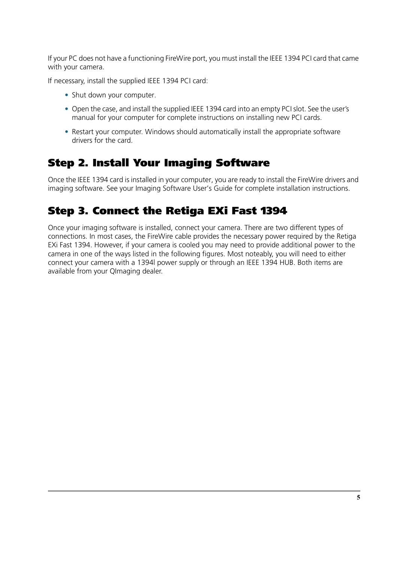If your PC does not have a functioning FireWire port, you must install the IEEE 1394 PCI card that came with your camera.

If necessary, install the supplied IEEE 1394 PCI card:

- **•** Shut down your computer.
- **•** Open the case, and install the supplied IEEE 1394 card into an empty PCI slot. See the user's manual for your computer for complete instructions on installing new PCI cards.
- **•** Restart your computer. Windows should automatically install the appropriate software drivers for the card.

## <span id="page-7-0"></span>**Step 2. Install Your Imaging Software**

Once the IEEE 1394 card is installed in your computer, you are ready to install the FireWire drivers and imaging software. See your Imaging Software User's Guide for complete installation instructions.

## <span id="page-7-1"></span>**Step 3. Connect the Retiga EXi Fast 1394**

Once your imaging software is installed, connect your camera. There are two different types of connections. In most cases, the FireWire cable provides the necessary power required by the Retiga EXi Fast 1394. However, if your camera is cooled you may need to provide additional power to the camera in one of the ways listed in the following figures. Most noteably, you will need to either connect your camera with a 1394l power supply or through an IEEE 1394 HUB. Both items are available from your QImaging dealer.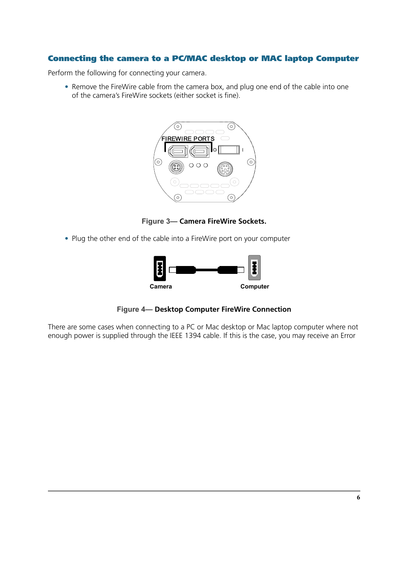### **Connecting the camera to a PC/MAC desktop or MAC laptop Computer**

Perform the following for connecting your camera.

**•** Remove the FireWire cable from the camera box, and plug one end of the cable into one of the camera's FireWire sockets (either socket is fine).



**Figure 3— Camera FireWire Sockets.**

**•** Plug the other end of the cable into a FireWire port on your computer



**Figure 4— Desktop Computer FireWire Connection**

There are some cases when connecting to a PC or Mac desktop or Mac laptop computer where not enough power is supplied through the IEEE 1394 cable. If this is the case, you may receive an Error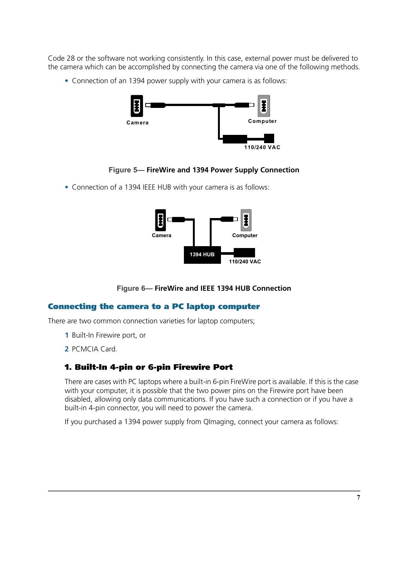Code 28 or the software not working consistently. In this case, external power must be delivered to the camera which can be accomplished by connecting the camera via one of the following methods.

**•** Connection of an 1394 power supply with your camera is as follows:



### **Figure 5— FireWire and 1394 Power Supply Connection**

**•** Connection of a 1394 IEEE HUB with your camera is as follows:



**Figure 6— FireWire and IEEE 1394 HUB Connection**

### **Connecting the camera to a PC laptop computer**

There are two common connection varieties for laptop computers;

- **1** Built-In Firewire port, or
- **2** PCMCIA Card.

### **1. Built-In 4-pin or 6-pin Firewire Port**

There are cases with PC laptops where a built-in 6-pin FireWire port is available. If this is the case with your computer, it is possible that the two power pins on the Firewire port have been disabled, allowing only data communications. If you have such a connection or if you have a built-in 4-pin connector, you will need to power the camera.

If you purchased a 1394 power supply from QImaging, connect your camera as follows: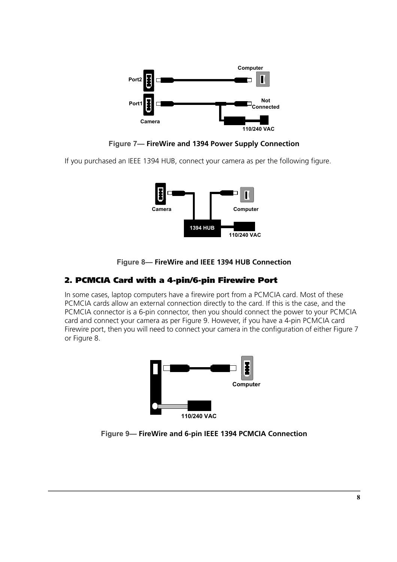

**Figure 7— FireWire and 1394 Power Supply Connection**

If you purchased an IEEE 1394 HUB, connect your camera as per the following figure.





### **2. PCMCIA Card with a 4-pin/6-pin Firewire Port**

In some cases, laptop computers have a firewire port from a PCMCIA card. Most of these PCMCIA cards allow an external connection directly to the card. If this is the case, and the PCMCIA connector is a 6-pin connector, then you should connect the power to your PCMCIA card and connect your camera as per Figure 9. However, if you have a 4-pin PCMCIA card Firewire port, then you will need to connect your camera in the configuration of either Figure 7 or Figure 8.



**Figure 9— FireWire and 6-pin IEEE 1394 PCMCIA Connection**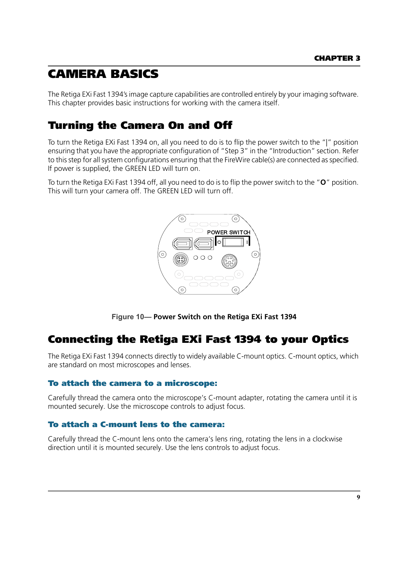## <span id="page-11-0"></span>**CAMERA BASICS**

The Retiga EXi Fast 1394's image capture capabilities are controlled entirely by your imaging software. This chapter provides basic instructions for working with the camera itself.

## <span id="page-11-1"></span>**Turning the Camera On and Off**

To turn the Retiga EXi Fast 1394 on, all you need to do is to flip the power switch to the "|" position ensuring that you have the appropriate configuration of "Step 3" in the "Introduction" section. Refer to this step for all system configurations ensuring that the FireWire cable(s) are connected as specified. If power is supplied, the GREEN LED will turn on.

To turn the Retiga EXi Fast 1394 off, all you need to do is to flip the power switch to the "**O**" position. This will turn your camera off. The GREEN LED will turn off.



**Figure 10— Power Switch on the Retiga EXi Fast 1394**

### <span id="page-11-2"></span>**Connecting the Retiga EXi Fast 1394 to your Optics**

The Retiga EXi Fast 1394 connects directly to widely available C-mount optics. C-mount optics, which are standard on most microscopes and lenses.

### **To attach the camera to a microscope:**

Carefully thread the camera onto the microscope's C-mount adapter, rotating the camera until it is mounted securely. Use the microscope controls to adjust focus.

### **To attach a C-mount lens to the camera:**

Carefully thread the C-mount lens onto the camera's lens ring, rotating the lens in a clockwise direction until it is mounted securely. Use the lens controls to adjust focus.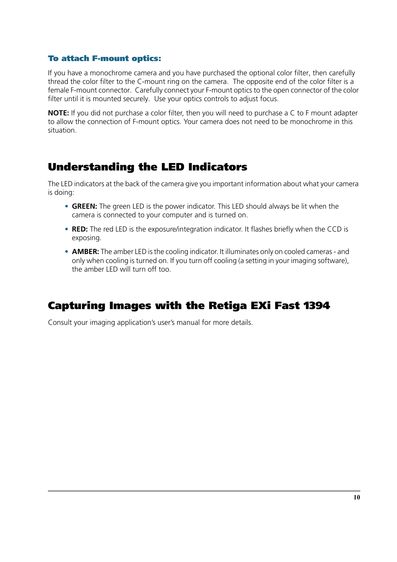### **To attach F-mount optics:**

If you have a monochrome camera and you have purchased the optional color filter, then carefully thread the color filter to the C-mount ring on the camera. The opposite end of the color filter is a female F-mount connector. Carefully connect your F-mount optics to the open connector of the color filter until it is mounted securely. Use your optics controls to adjust focus.

**NOTE:** If you did not purchase a color filter, then you will need to purchase a C to F mount adapter to allow the connection of F-mount optics. Your camera does not need to be monochrome in this situation.

### <span id="page-12-0"></span>**Understanding the LED Indicators**

The LED indicators at the back of the camera give you important information about what your camera is doing:

- **• GREEN:** The green LED is the power indicator. This LED should always be lit when the camera is connected to your computer and is turned on.
- **• RED:** The red LED is the exposure/integration indicator. It flashes briefly when the CCD is exposing.
- **• AMBER:** The amber LED is the cooling indicator. It illuminates only on cooled cameras and only when cooling is turned on. If you turn off cooling (a setting in your imaging software), the amber LED will turn off too.

## <span id="page-12-1"></span>**Capturing Images with the Retiga EXi Fast 1394**

Consult your imaging application's user's manual for more details.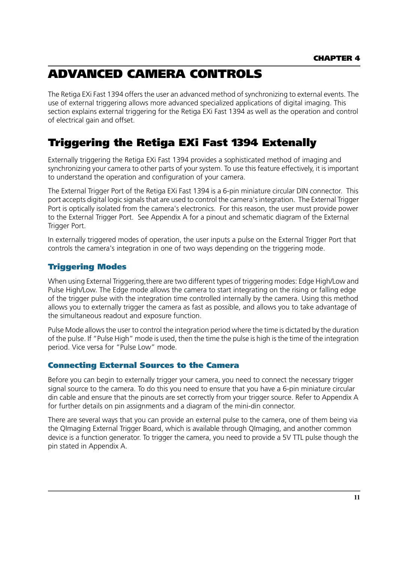## <span id="page-13-0"></span>**ADVANCED CAMERA CONTROLS**

The Retiga EXi Fast 1394 offers the user an advanced method of synchronizing to external events. The use of external triggering allows more advanced specialized applications of digital imaging. This section explains external triggering for the Retiga EXi Fast 1394 as well as the operation and control of electrical gain and offset.

## <span id="page-13-1"></span>**Triggering the Retiga EXi Fast 1394 Extenally**

Externally triggering the Retiga EXi Fast 1394 provides a sophisticated method of imaging and synchronizing your camera to other parts of your system. To use this feature effectively, it is important to understand the operation and configuration of your camera.

The External Trigger Port of the Retiga EXi Fast 1394 is a 6-pin miniature circular DIN connector. This port accepts digital logic signals that are used to control the camera's integration. The External Trigger Port is optically isolated from the camera's electronics. For this reason, the user must provide power to the External Trigger Port. See Appendix A for a pinout and schematic diagram of the External Trigger Port.

In externally triggered modes of operation, the user inputs a pulse on the External Trigger Port that controls the camera's integration in one of two ways depending on the triggering mode.

### **Triggering Modes**

When using External Triggering, there are two different types of triggering modes: Edge High/Low and Pulse High/Low. The Edge mode allows the camera to start integrating on the rising or falling edge of the trigger pulse with the integration time controlled internally by the camera. Using this method allows you to externally trigger the camera as fast as possible, and allows you to take advantage of the simultaneous readout and exposure function.

Pulse Mode allows the user to control the integration period where the time is dictated by the duration of the pulse. If "Pulse High" mode is used, then the time the pulse is high is the time of the integration period. Vice versa for "Pulse Low" mode.

### **Connecting External Sources to the Camera**

Before you can begin to externally trigger your camera, you need to connect the necessary trigger signal source to the camera. To do this you need to ensure that you have a 6-pin miniature circular din cable and ensure that the pinouts are set correctly from your trigger source. Refer to Appendix A for further details on pin assignments and a diagram of the mini-din connector.

There are several ways that you can provide an external pulse to the camera, one of them being via the QImaging External Trigger Board, which is available through QImaging, and another common device is a function generator. To trigger the camera, you need to provide a 5V TTL pulse though the pin stated in Appendix A.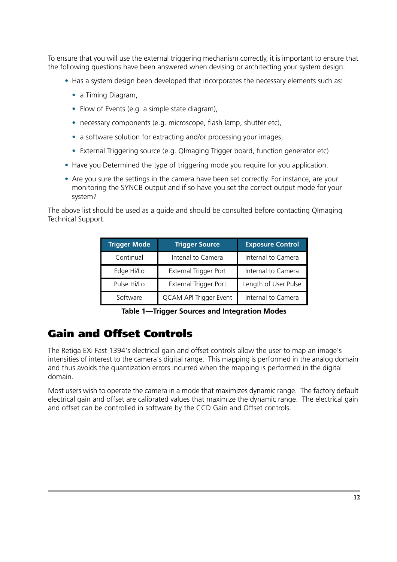To ensure that you will use the external triggering mechanism correctly, it is important to ensure that the following questions have been answered when devising or architecting your system design:

- **•** Has a system design been developed that incorporates the necessary elements such as:
	- **•** a Timing Diagram,
	- **•** Flow of Events (e.g. a simple state diagram),
	- **•** necessary components (e.g. microscope, flash lamp, shutter etc),
	- a software solution for extracting and/or processing your images,
	- **•** External Triggering source (e.g. QImaging Trigger board, function generator etc)
- **•** Have you Determined the type of triggering mode you require for you application.
- **•** Are you sure the settings in the camera have been set correctly. For instance, are your monitoring the SYNCB output and if so have you set the correct output mode for your system?

The above list should be used as a guide and should be consulted before contacting QImaging Technical Support.

| <b>Trigger Mode</b> | <b>Trigger Source</b>  | <b>Exposure Control</b> |
|---------------------|------------------------|-------------------------|
| Continual           | Intenal to Camera      | Internal to Camera      |
| Edge Hi/Lo          | External Trigger Port  | Internal to Camera      |
| Pulse Hi/Lo         | External Trigger Port  | Length of User Pulse    |
| Software            | QCAM API Trigger Event | Internal to Camera      |

**Table 1—Trigger Sources and Integration Modes**

### <span id="page-14-0"></span>**Gain and Offset Controls**

The Retiga EXi Fast 1394's electrical gain and offset controls allow the user to map an image's intensities of interest to the camera's digital range. This mapping is performed in the analog domain and thus avoids the quantization errors incurred when the mapping is performed in the digital domain.

Most users wish to operate the camera in a mode that maximizes dynamic range. The factory default electrical gain and offset are calibrated values that maximize the dynamic range. The electrical gain and offset can be controlled in software by the CCD Gain and Offset controls.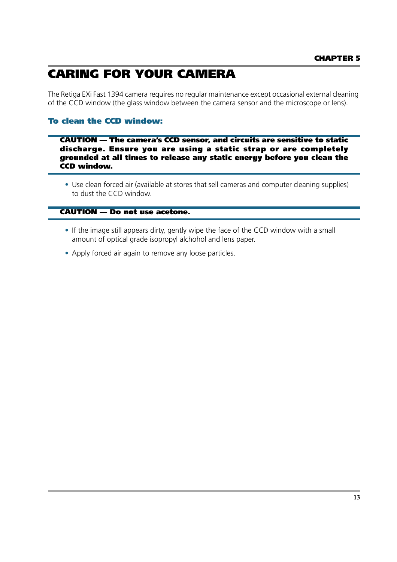## <span id="page-15-0"></span>**CARING FOR YOUR CAMERA**

The Retiga EXi Fast 1394 camera requires no regular maintenance except occasional external cleaning of the CCD window (the glass window between the camera sensor and the microscope or lens).

### **To clean the CCD window:**

**CAUTION — The camera's CCD sensor, and circuits are sensitive to static discharge. Ensure you are using a static strap or are completely grounded at all times to release any static energy before you clean the CCD window.**

**•** Use clean forced air (available at stores that sell cameras and computer cleaning supplies) to dust the CCD window.

#### **CAUTION — Do not use acetone.**

- **•** If the image still appears dirty, gently wipe the face of the CCD window with a small amount of optical grade isopropyl alchohol and lens paper.
- **•** Apply forced air again to remove any loose particles.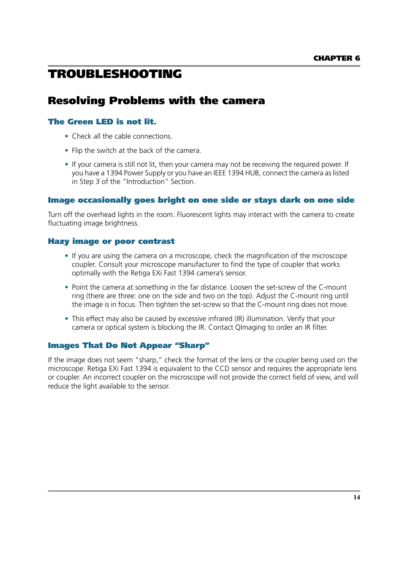## <span id="page-16-0"></span>**TROUBLESHOOTING**

## <span id="page-16-1"></span>**Resolving Problems with the camera**

### **The Green LED is not lit.**

- **•** Check all the cable connections.
- **•** Flip the switch at the back of the camera.
- **•** If your camera is still not lit, then your camera may not be receiving the required power. If you have a 1394 Power Supply or you have an IEEE 1394 HUB, connect the camera as listed in Step 3 of the "Introduction" Section.

### **Image occasionally goes bright on one side or stays dark on one side**

Turn off the overhead lights in the room. Fluorescent lights may interact with the camera to create fluctuating image brightness.

### **Hazy image or poor contrast**

- **•** If you are using the camera on a microscope, check the magnification of the microscope coupler. Consult your microscope manufacturer to find the type of coupler that works optimally with the Retiga EXi Fast 1394 camera's sensor.
- **•** Point the camera at something in the far distance. Loosen the set-screw of the C-mount ring (there are three: one on the side and two on the top). Adjust the C-mount ring until the image is in focus. Then tighten the set-screw so that the C-mount ring does not move.
- **•** This effect may also be caused by excessive infrared (IR) illumination. Verify that your camera or optical system is blocking the IR. Contact QImaging to order an IR filter.

### **Images That Do Not Appear "Sharp"**

If the image does not seem "sharp," check the format of the lens or the coupler being used on the microscope. Retiga EXi Fast 1394 is equivalent to the CCD sensor and requires the appropriate lens or coupler. An incorrect coupler on the microscope will not provide the correct field of view, and will reduce the light available to the sensor.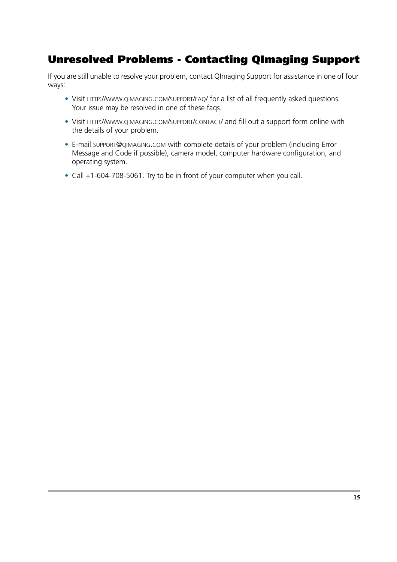## <span id="page-17-0"></span>**Unresolved Problems - Contacting QImaging Support**

If you are still unable to resolve your problem, contact QImaging Support for assistance in one of four ways:

- **•** Visit HTTP://WWW.QIMAGING.COM/SUPPORT/FAQ/ for a list of all frequently asked questions. Your issue may be resolved in one of these faqs.
- **•** Visit HTTP://WWW.QIMAGING.COM/SUPPORT/CONTACT/ and fill out a support form online with the details of your problem.
- **•** E-mail SUPPORT@QIMAGING.COM with complete details of your problem (including Error Message and Code if possible), camera model, computer hardware configuration, and operating system.
- **•** Call +1-604-708-5061. Try to be in front of your computer when you call.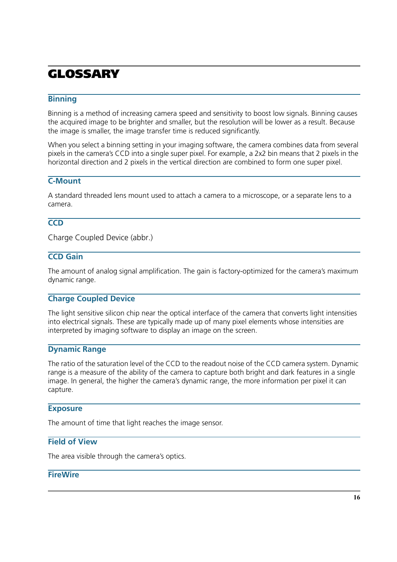## <span id="page-18-0"></span>**GLOSSARY**

### **Binning**

Binning is a method of increasing camera speed and sensitivity to boost low signals. Binning causes the acquired image to be brighter and smaller, but the resolution will be lower as a result. Because the image is smaller, the image transfer time is reduced significantly.

When you select a binning setting in your imaging software, the camera combines data from several pixels in the camera's CCD into a single super pixel. For example, a 2x2 bin means that 2 pixels in the horizontal direction and 2 pixels in the vertical direction are combined to form one super pixel.

### **C-Mount**

A standard threaded lens mount used to attach a camera to a microscope, or a separate lens to a camera.

### **CCD**

Charge Coupled Device (abbr.)

### **CCD Gain**

The amount of analog signal amplification. The gain is factory-optimized for the camera's maximum dynamic range.

### **Charge Coupled Device**

The light sensitive silicon chip near the optical interface of the camera that converts light intensities into electrical signals. These are typically made up of many pixel elements whose intensities are interpreted by imaging software to display an image on the screen.

### **Dynamic Range**

The ratio of the saturation level of the CCD to the readout noise of the CCD camera system. Dynamic range is a measure of the ability of the camera to capture both bright and dark features in a single image. In general, the higher the camera's dynamic range, the more information per pixel it can capture.

### **Exposure**

The amount of time that light reaches the image sensor.

### **Field of View**

The area visible through the camera's optics.

### **FireWire**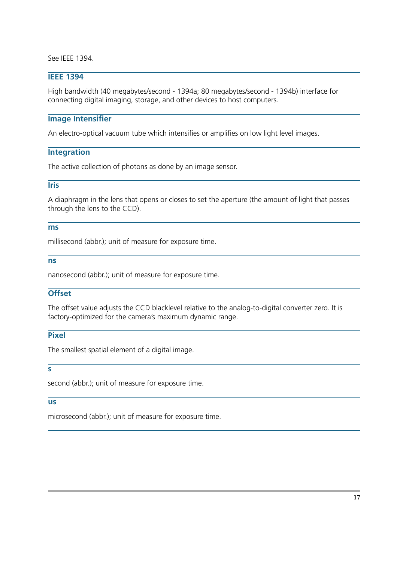See IEEE 1394.

### **IEEE 1394**

High bandwidth (40 megabytes/second - 1394a; 80 megabytes/second - 1394b) interface for connecting digital imaging, storage, and other devices to host computers.

#### **Image Intensifier**

An electro-optical vacuum tube which intensifies or amplifies on low light level images.

#### **Integration**

The active collection of photons as done by an image sensor.

### **Iris**

A diaphragm in the lens that opens or closes to set the aperture (the amount of light that passes through the lens to the CCD).

#### **ms**

millisecond (abbr.); unit of measure for exposure time.

#### **ns**

nanosecond (abbr.); unit of measure for exposure time.

### **Offset**

The offset value adjusts the CCD blacklevel relative to the analog-to-digital converter zero. It is factory-optimized for the camera's maximum dynamic range.

### **Pixel**

The smallest spatial element of a digital image.

**s**

second (abbr.); unit of measure for exposure time.

#### **us**

microsecond (abbr.); unit of measure for exposure time.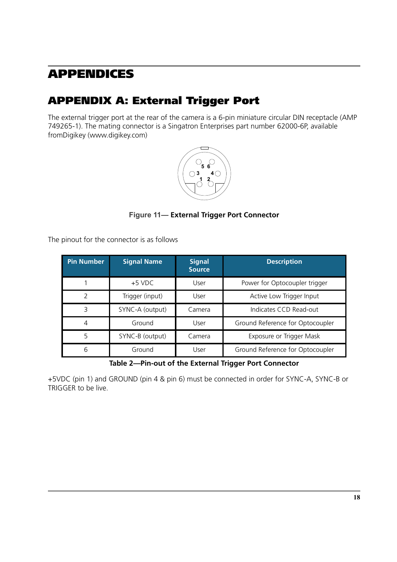## <span id="page-20-0"></span>**APPENDICES**

## <span id="page-20-1"></span>**APPENDIX A: External Trigger Port**

The external trigger port at the rear of the camera is a 6-pin miniature circular DIN receptacle (AMP 749265-1). The mating connector is a Singatron Enterprises part number 62000-6P, available fromDigikey (www.digikey.com)



### **Figure 11— External Trigger Port Connector**

The pinout for the connector is as follows

| <b>Pin Number</b> | <b>Signal Name</b> | <b>Signal</b><br><b>Source</b> | <b>Description</b>               |
|-------------------|--------------------|--------------------------------|----------------------------------|
|                   | $+5$ VDC           | User                           | Power for Optocoupler trigger    |
| C                 | Trigger (input)    | User                           | Active Low Trigger Input         |
| 3                 | SYNC-A (output)    | Camera                         | Indicates CCD Read-out           |
| 4                 | Ground             | User                           | Ground Reference for Optocoupler |
| 5                 | SYNC-B (output)    | Camera                         | Exposure or Trigger Mask         |
| 6                 | Ground             | User                           | Ground Reference for Optocoupler |

**Table 2—Pin-out of the External Trigger Port Connector**

+5VDC (pin 1) and GROUND (pin 4 & pin 6) must be connected in order for SYNC-A, SYNC-B or TRIGGER to be live.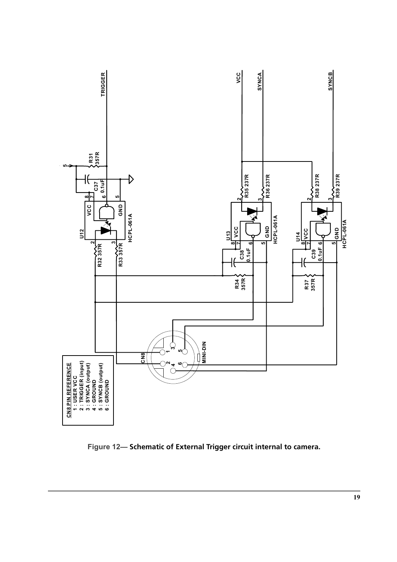

**Figure 12— Schematic of External Trigger circuit internal to camera.**